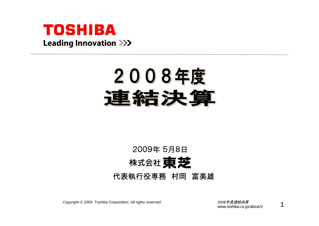

# 2008年度 結手法

#### 2009年 5月8日株式会社 東芝 代表執行役専務 村岡 富美雄

*Copyright © <sup>2009</sup> Toshiba Corporation. All rights reserved. <sup>2008</sup>*年度連結決算

www.toshiba.co.jp/about/ir

1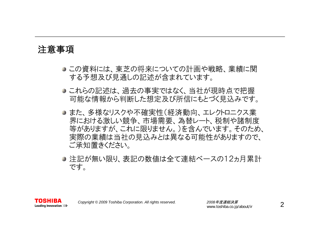#### 注意事項

TOSHIBA Leading Innovation >>>

- この資料には、東芝の将来についての計画や戦略、業績に関 する予想及び見通しの記述が含まれています。
- これらの記述は、過去の事実ではなく、当社が現時点で把握 可能な情報から判断した想定及び所信にもとづく見込みです。
- また、多様なリスクや不確実性(経済動向、エレクトロニクス業 界における激しい競争、市場需要、為替レート、税制や諸制度 等がありますが、これに限りません。)を含んでいます。そのため、 実際の業績は当社の見込みとは異なる可能性がありますので、 ご承知置きください。
- 注記が無い限り、表記の数値は全て連結ベースの12ヵ月累計 です。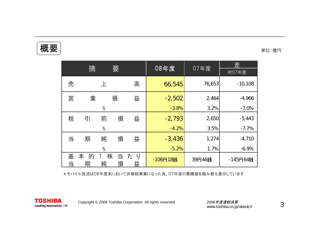### $\left|\biguplus\right.\left|\right.$  the set of the set of the set of the set of the set of the set of the set of the set of the set of the set of the set of the set of the set of the set of the set of the set of the set of the set of the se

|        | 摘           |               | 要      |         | 08年度     | 07年度   | 差<br>対07年度 |
|--------|-------------|---------------|--------|---------|----------|--------|------------|
| 売      |             |               |        | 高       | 66,545   | 76,653 | $-10,108$  |
| 営      | 業           |               | 損      | 益       | $-2,502$ | 2,464  | $-4,966$   |
|        |             | $\%$          |        |         | $-3.8%$  | 3.2%   | $-7.0%$    |
| 税      | 引           | 前             | 損      | 益       | $-2,793$ | 2,650  | $-5,443$   |
|        |             | $\frac{0}{0}$ |        |         | $-4.2%$  | 3.5%   | $-7.7%$    |
| 当      | 期           | 純             | 損      | 益       | $-3,436$ | 1,274  | $-4,710$   |
|        |             | $\%$          |        |         | $-5.2%$  | 1.7%   | $-6.9%$    |
| 基<br>当 | 本<br>的<br>期 | 株<br>純        | 当<br>損 | たり<br>益 | -106円18銭 | 39円46銭 | -145円64銭   |

\*モバイル放送は08年度末において非継続事業になった為、07年度の業績値を組み替え表示しています

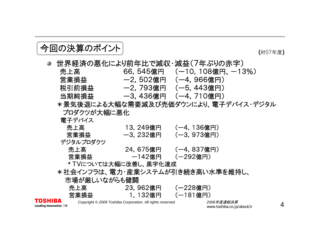## ● 回の決算のポイント (対07年度)

|         |                       |                                                           | 世界経済の悪化により前年比で減収・減益(7年ぶりの赤字)          |
|---------|-----------------------|-----------------------------------------------------------|---------------------------------------|
|         | 売上高                   |                                                           | $66, 545$ 億円 $(-10, 108$ 億円、 $-13\%)$ |
|         | 営業損益                  |                                                           | —2,502億円 (—4,966億円)                   |
|         | 税引前損益                 |                                                           | —2,793億円 (一5,443億円)                   |
|         | 当期純損益                 |                                                           | —3.436億円 (—4.710億円)                   |
|         |                       |                                                           | *景気後退による大幅な需要減及び売価ダウンにより、電子デバイス・デジタル  |
|         | プロダクツが大幅に悪化           |                                                           |                                       |
|         | 電子デバイス                |                                                           |                                       |
|         | 売上高                   | 13, 249億円                                                 | (一4, 136億円)                           |
|         | 営業損益                  | 一3,232億円                                                  | (-3, 973億円)                           |
|         | デジタルプロダクツ             |                                                           |                                       |
|         | 売上高                   | 24,675億円 (一4,837億円)                                       |                                       |
|         | 営業損益                  | —142億円 (一292億円)                                           |                                       |
|         | * TVについては大幅に改善し、黒字化達成 |                                                           |                                       |
|         |                       |                                                           | *社会インフラは、電力・産業システムが引き続き高い水準を維持し、      |
|         | 市場が厳しいながらも健闘          |                                                           |                                       |
|         | 売上高                   | 23,962億円                                                  | (一228億円)                              |
|         | 営業損益                  | 1, 132億円                                                  | (一181億円)                              |
| TOSHIBA |                       | Convright © 2009 Toshiba Corporation, All rights reserved | 2008年度連結決算                            |

*Copyright © <sup>2009</sup> Toshiba Corporation. All rights reserved. <sup>2008</sup>*年度連結決算

www.toshiba.co.jp/about/ir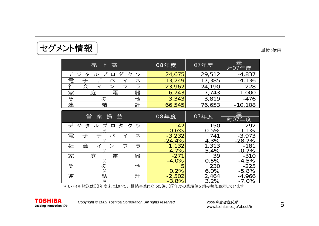| 売 上 高                                       | 08年度   | 07年度   | 差         |
|---------------------------------------------|--------|--------|-----------|
|                                             |        |        | 対07年度     |
| デジ<br>ダ<br>ク<br>ーツ<br>タ<br>ブ<br>ル<br>$\Box$ | 24,675 | 29,512 | $-4,837$  |
| 電                                           | 13,249 | 17,385 | $-4,136$  |
| 社<br>会                                      | 23,962 | 24,190 | $-228$    |
| 家<br>電<br>器<br>庭                            | 6,743  | 7,743  | $-1,000$  |
| そ<br>他                                      | 3,343  | 3,819  | $-476$    |
| 連<br>計<br>結                                 | 66,545 | 76,653 | $-10,108$ |

|                          | 業<br>営<br>損<br>益                 | 08年度                          | 07年度             | 差                    |
|--------------------------|----------------------------------|-------------------------------|------------------|----------------------|
|                          |                                  |                               |                  | 対07年度                |
| デジ                       | ダ<br>ク<br>ッソ<br>タ<br>プ<br>儿<br>□ | $-142$<br>$-0.6%$             | 150<br>0.5%      | $-292$<br>$-1.1%$    |
| 電                        | バ<br>子<br>ス<br>$\frac{0}{n}$     | $-3,232$<br>$-24.4%$          | 741<br>4.3%      | $-3,973$<br>$-28.7%$ |
| 社                        | 会<br>◝,<br>ラ<br>フ<br>$\%$        | 1,132<br>$\sqrt{\frac{9}{6}}$ | 1,313<br>5.4%    | $-181$<br>$-0.7%$    |
| 家                        | 電<br>器<br>庭<br>$\frac{0}{0}$     | $-271$<br>$-4.0\%$            | 39<br>0.5%       | $-310$<br>$-4.5%$    |
| $\overline{\mathcal{F}}$ | 他<br>$\sigma$<br>$\frac{0}{0}$   | 2%<br>0                       | 230<br>6.0%      | $-225$<br>$-5.8\%$   |
| 連                        | 結<br>%<br>計                      | $-2,502$<br>$-3.8%$           | 2,464<br>$3.2\%$ | $-4,966$<br>$-7.0\%$ |

\*モバイル放送は08年度末において非継続事業になった為、07年度の業績値を組み替え表示しています

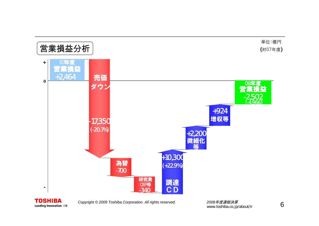



www.toshiba.co.jp/about/ir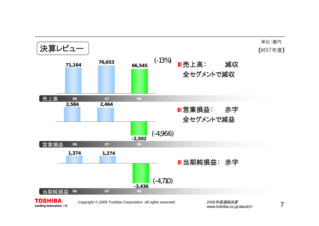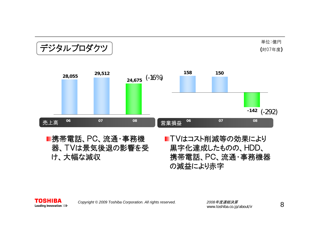#### デジタルプロダクツ

単位:億円 (対07年度)



携帯電話、PC、流通・事務機 器、TVは景気後退の影響を受 け、大幅な減収

■TVはコスト削減等の効果により 黒字化達成したものの、HDD、 携帯電話、PC、流通・事務機器 の減益により赤字

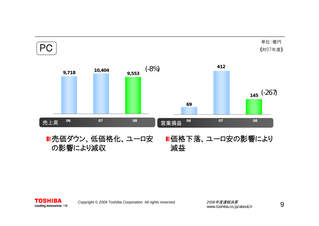

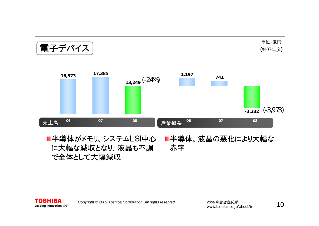電子デバイス (-24%) (-3,973) 売上高 営業損益 **<sup>06</sup> <sup>07</sup> <sup>08</sup> <sup>06</sup> <sup>07</sup> <sup>08</sup>** 単位:億円 (対07年度) **13,249 16,573 17,385 -3,232 1,197 <sup>741</sup>**

**T:守ithのマントリストリストの** に大幅な減収となり、液晶も不調 で全体として大幅減収 半導体、液晶の悪化により大幅な 赤字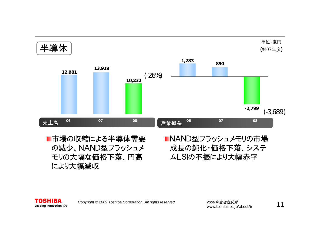

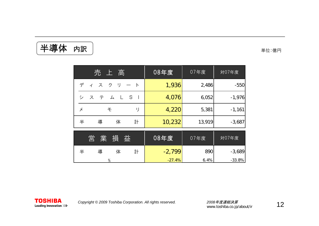半導体 内訳 るいちゃく しょうしゃ きょう きゅうしゃ きゅうきょう きゅうしゅう きゅうしゅう

| 売上高                                     | 08年度     | 07年度   | 対07年度    |
|-----------------------------------------|----------|--------|----------|
| ク<br>IJ<br>ディス<br>$ \vdash$             | 1,936    | 2,486  | $-550$   |
| S<br>シ<br>テ<br>厶<br>$\mathbb{L}$ .<br>ス | 4,076    | 6,052  | $-1,976$ |
| IJ<br>メ<br>モ                            | 4,220    | 5,381  | $-1,161$ |
| 体<br>半<br>導<br>計                        | 10,232   | 13,919 | $-3,687$ |
| 業<br>営<br>損<br>益                        | $08$ 年度  | 07年度   | 対07年度    |
| 体<br>半<br>導<br>計                        | $-2,799$ | 890    | $-3,689$ |
| $\frac{0}{0}$                           | $-27.4%$ | 6.4%   | $-33.8%$ |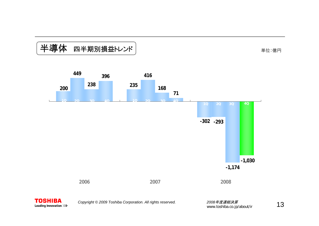#### 半導体 四半期別損益トレンド

単位:億円

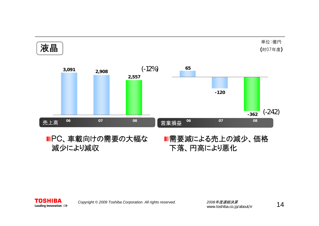

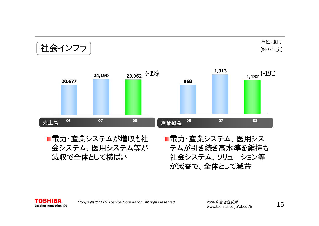社会インフラ  $_{1,132}$  (-181) 売上高 営業損益 **<sup>06</sup> <sup>07</sup> <sup>08</sup> <sup>06</sup> <sup>07</sup> <sup>08</sup>** 単位:億円 (対07年度) **23,962 24,190 1,132 20,677 9681,313**

■電力・産業システムが増収も社 会システム、医用システム等が 減収で全体として横ばい

■電力・産業システム、医用シス テムが引き続き高水準を維持も 社会システム、ソリューション等 が減益で、全体として減益

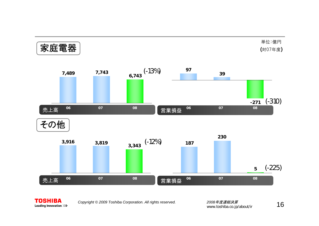

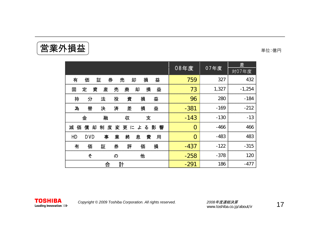**営業外損益** → コンプレストンの電気 → コンプレストンの電話

|                                                | 08年度           | 07年度   | 差        |
|------------------------------------------------|----------------|--------|----------|
|                                                |                |        | 対07年度    |
| 損<br>益<br>券<br>有<br>却<br>価<br>証<br>売           | 759            | 327    | 432      |
| 損<br>益<br>定<br>資<br>産<br>売<br>廃<br>却<br>固      | 73             | 1,327  | $-1,254$ |
| 持<br>分<br>法<br>投<br>資<br>損<br>益                | 96             | 280    | $-184$   |
| 差<br>為<br>替<br>済<br>損<br>益<br>決                | $-381$         | $-169$ | $-212$   |
| 融<br>金<br>収<br>支                               | $-143$         | $-130$ | $-13$    |
| 償<br>減<br>却<br>制<br>度<br>変更による影<br>価<br>響      | $\overline{0}$ | $-466$ | 466      |
| 業<br>HD<br>終<br><b>DVD</b><br>事<br>息<br>費<br>用 | $\overline{0}$ | $-483$ | 483      |
| 有<br>券<br>評<br>損<br>価<br>証<br>価                | $-437$         | $-122$ | $-315$   |
| 他<br>そ<br>$\sigma$                             | $-258$         | $-378$ | 120      |
| 計<br>合                                         | $-291$         | 186    | $-477$   |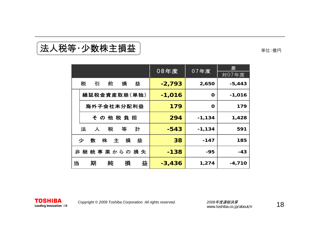#### **法人税等·少数株主損益** インプレストランストン インタンストル 単位:億円

|                            | $08$ 年度  | 07年度        | 差<br>对07年度 |
|----------------------------|----------|-------------|------------|
| 税<br>前<br>損<br>益<br>引      | $-2,793$ | 2,650       | $-5,443$   |
| 繰延税金資産取崩(単独)               | $-1,016$ | $\mathbf 0$ | $-1,016$   |
| 海外子会社未分配利益                 | 179      | $\mathbf 0$ | 179        |
| その他税負担                     | 294      | $-1,134$    | 1,428      |
| 法<br>税<br>等<br>人<br>計      | $-543$   | $-1,134$    | 591        |
| 損<br>株<br>益<br>数<br>少<br>主 | 38       | $-147$      | 185        |
| 非 継 続 事 業 からの 損 失          | $-138$   | $-95$       | $-43$      |
| 益<br>損<br>当<br>期<br>純      | $-3,436$ | 1,274       | $-4,710$   |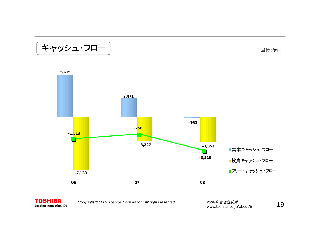

単位:億円





*Copyright © <sup>2009</sup> Toshiba Corporation. All rights reserved. <sup>2008</sup>*年度連結決算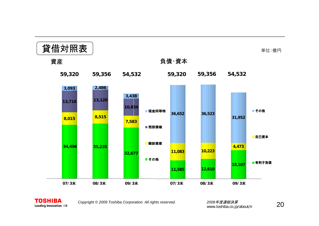

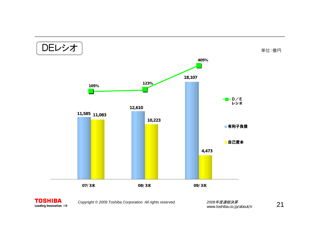



www.toshiba.co.jp/about/ir 21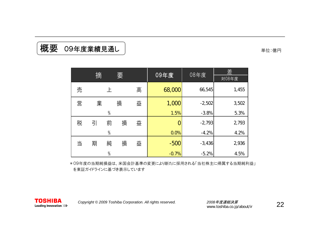#### 板要 09年度業績見通し るいちょう しょうしょう インタン きゅうしゅう はんちょう きゅうしゅう

|   | 摘 |               | 要 |   | 09年度    | 08年度     | 差<br>対08年度 |
|---|---|---------------|---|---|---------|----------|------------|
| 売 |   | 上             |   | 高 | 68,000  | 66,545   | 1,455      |
| 営 | 業 |               | 損 | 益 | 1,000   | $-2,502$ | 3,502      |
|   |   | $\%$          |   |   | 1.5%    | $-3.8%$  | 5.3%       |
| 税 | 引 | 前             | 損 | 益 |         | $-2,793$ | 2,793      |
|   |   | $\frac{0}{0}$ |   |   | 0.0%    | $-4.2%$  | 4.2%       |
| 当 | 期 | 純             | 損 | 益 | $-500$  | $-3,436$ | 2,936      |
|   |   | $\%$          |   |   | $-0.7%$ | $-5.2%$  | 4.5%       |

\*09年度の当期純損益は、米国会計基準の変更により新たに採用される「当社株主に帰属する当期純利益」 を東証ガイドラインに基づき表示しています

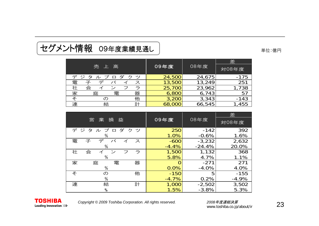#### セグメント情報 09年度業績見通し 単位:億円

|                             |        |        | 差      |
|-----------------------------|--------|--------|--------|
| 売 上 高                       | 09年度   | 08年度   | 対08年度  |
| デジ<br>ルプロダ<br>、゚ソ<br>タ<br>ク | 24,500 | 24,675 | $-175$ |
| 電<br>デ<br>ス                 | 13,500 | 13,249 | 251    |
| 社<br>会                      | 25,700 | 23,962 | 1,738  |
| 器<br>家<br>電<br>庭            | 6,800  | 6,743  | 57     |
| そ<br>他<br>O)                | 3,200  | 3,343  | $-143$ |
| 連<br>計<br>結                 | 68,000 | 66,545 | 1,455  |

|                                    | 09年度    |          | 差       |
|------------------------------------|---------|----------|---------|
| 営<br>損<br>業<br>益                   |         | 08年度     | 対08年度   |
| ダ<br>デジ<br>タ<br>ルプ<br>クツ<br>$\Box$ | 250     | $-142$   | 392     |
| %                                  | 1.0%    | $-0.6%$  | 1.6%    |
| 電<br>デ<br>バ<br>子<br>ス              | $-600$  | $-3,232$ | 2,632   |
| $\%$                               | $-4.4%$ | $-24.4%$ | 20.0%   |
| 社<br>会<br>ラ<br>$\sim$<br>フ         | 1,500   | 1,132    | 368     |
| $\%$                               | 5.8%    | 4.7%     | 1.1%    |
| 家<br>電<br>庭<br>器                   |         | $-271$   | 271     |
| $\%$                               | 0.0%    | $-4.0%$  | 4.0%    |
| そ<br>他<br>の                        | $-150$  | 5        | $-155$  |
| $\%$                               | $-4.7%$ | 0.2%     | $-4.9%$ |
| 連<br>結<br>計                        | 1,000   | $-2,502$ | 3,502   |
| %                                  | 1.5%    | $-3.8%$  | 5.3%    |



*Copyright © <sup>2009</sup> Toshiba Corporation. All rights reserved. <sup>2008</sup>*年度連結決算